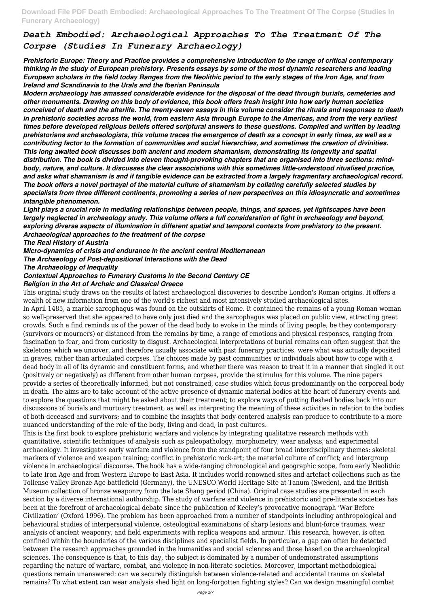*Prehistoric Europe: Theory and Practice provides a comprehensive introduction to the range of critical contemporary thinking in the study of European prehistory. Presents essays by some of the most dynamic researchers and leading European scholars in the field today Ranges from the Neolithic period to the early stages of the Iron Age, and from Ireland and Scandinavia to the Urals and the Iberian Peninsula*

*Modern archaeology has amassed considerable evidence for the disposal of the dead through burials, cemeteries and other monuments. Drawing on this body of evidence, this book offers fresh insight into how early human societies conceived of death and the afterlife. The twenty-seven essays in this volume consider the rituals and responses to death in prehistoric societies across the world, from eastern Asia through Europe to the Americas, and from the very earliest times before developed religious beliefs offered scriptural answers to these questions. Compiled and written by leading prehistorians and archaeologists, this volume traces the emergence of death as a concept in early times, as well as a contributing factor to the formation of communities and social hierarchies, and sometimes the creation of divinities. This long awaited book discusses both ancient and modern shamanism, demonstrating its longevity and spatial distribution. The book is divided into eleven thought-provoking chapters that are organised into three sections: mindbody, nature, and culture. It discusses the clear associations with this sometimes little-understood ritualised practice, and asks what shamanism is and if tangible evidence can be extracted from a largely fragmentary archaeological record. The book offers a novel portrayal of the material culture of shamanism by collating carefully selected studies by specialists from three different continents, promoting a series of new perspectives on this idiosyncratic and sometimes intangible phenomenon.*

*Light plays a crucial role in mediating relationships between people, things, and spaces, yet lightscapes have been largely neglected in archaeology study. This volume offers a full consideration of light in archaeology and beyond, exploring diverse aspects of illumination in different spatial and temporal contexts from prehistory to the present. Archaeological approaches to the treatment of the corpse*

*The Real History of Austria*

*Micro-dynamics of crisis and endurance in the ancient central Mediterranean*

*The Archaeology of Post-depositional Interactions with the Dead*

*The Archaeology of Inequality*

### *Contextual Approaches to Funerary Customs in the Second Century CE*

#### *Religion in the Art of Archaic and Classical Greece*

This original study draws on the results of latest archaeological discoveries to describe London's Roman origins. It offers a wealth of new information from one of the world's richest and most intensively studied archaeological sites.

In April 1485, a marble sarcophagus was found on the outskirts of Rome. It contained the remains of a young Roman woman so well-preserved that she appeared to have only just died and the sarcophagus was placed on public view, attracting great crowds. Such a find reminds us of the power of the dead body to evoke in the minds of living people, be they contemporary (survivors or mourners) or distanced from the remains by time, a range of emotions and physical responses, ranging from fascination to fear, and from curiosity to disgust. Archaeological interpretations of burial remains can often suggest that the skeletons which we uncover, and therefore usually associate with past funerary practices, were what was actually deposited in graves, rather than articulated corpses. The choices made by past communities or individuals about how to cope with a dead body in all of its dynamic and constituent forms, and whether there was reason to treat it in a manner that singled it out (positively or negatively) as different from other human corpses, provide the stimulus for this volume. The nine papers provide a series of theoretically informed, but not constrained, case studies which focus predominantly on the corporeal body in death. The aims are to take account of the active presence of dynamic material bodies at the heart of funerary events and to explore the questions that might be asked about their treatment; to explore ways of putting fleshed bodies back into our discussions of burials and mortuary treatment, as well as interpreting the meaning of these activities in relation to the bodies of both deceased and survivors; and to combine the insights that body-centered analysis can produce to contribute to a more nuanced understanding of the role of the body, living and dead, in past cultures.

This is the first book to explore prehistoric warfare and violence by integrating qualitative research methods with quantitative, scientific techniques of analysis such as paleopathology, morphometry, wear analysis, and experimental archaeology. It investigates early warfare and violence from the standpoint of four broad interdisciplinary themes: skeletal markers of violence and weapon training; conflict in prehistoric rock-art; the material culture of conflict; and intergroup violence in archaeological discourse. The book has a wide-ranging chronological and geographic scope, from early Neolithic to late Iron Age and from Western Europe to East Asia. It includes world-renowned sites and artefact collections such as the Tollense Valley Bronze Age battlefield (Germany), the UNESCO World Heritage Site at Tanum (Sweden), and the British Museum collection of bronze weaponry from the late Shang period (China). Original case studies are presented in each section by a diverse international authorship. The study of warfare and violence in prehistoric and pre-literate societies has been at the forefront of archaeological debate since the publication of Keeley's provocative monograph 'War Before Civilization' (Oxford 1996). The problem has been approached from a number of standpoints including anthropological and behavioural studies of interpersonal violence, osteological examinations of sharp lesions and blunt-force traumas, wear analysis of ancient weaponry, and field experiments with replica weapons and armour. This research, however, is often confined within the boundaries of the various disciplines and specialist fields. In particular, a gap can often be detected between the research approaches grounded in the humanities and social sciences and those based on the archaeological sciences. The consequence is that, to this day, the subject is dominated by a number of undemonstrated assumptions regarding the nature of warfare, combat, and violence in non-literate societies. Moreover, important methodological questions remain unanswered: can we securely distinguish between violence-related and accidental trauma on skeletal remains? To what extent can wear analysis shed light on long-forgotten fighting styles? Can we design meaningful combat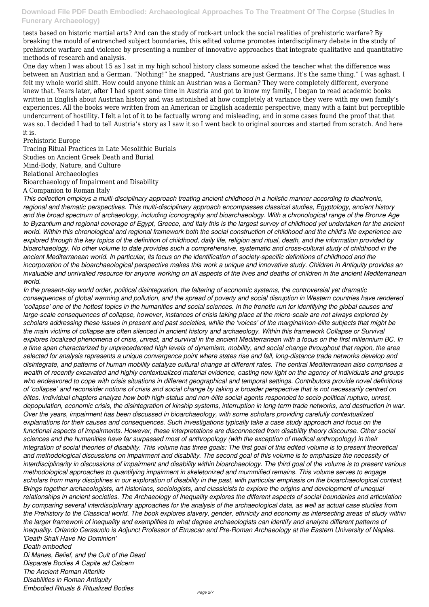tests based on historic martial arts? And can the study of rock-art unlock the social realities of prehistoric warfare? By breaking the mould of entrenched subject boundaries, this edited volume promotes interdisciplinary debate in the study of prehistoric warfare and violence by presenting a number of innovative approaches that integrate qualitative and quantitative methods of research and analysis.

One day when I was about 15 as I sat in my high school history class someone asked the teacher what the difference was between an Austrian and a German. "Nothing!" he snapped, "Austrians are just Germans. It's the same thing." I was aghast. I felt my whole world shift. How could anyone think an Austrian was a German? They were completely different, everyone knew that. Years later, after I had spent some time in Austria and got to know my family, I began to read academic books written in English about Austrian history and was astonished at how completely at variance they were with my own family's experiences. All the books were written from an American or English academic perspective, many with a faint but perceptible undercurrent of hostility. I felt a lot of it to be factually wrong and misleading, and in some cases found the proof that that was so. I decided I had to tell Austria's story as I saw it so I went back to original sources and started from scratch. And here it is.

Prehistoric Europe

Tracing Ritual Practices in Late Mesolithic Burials Studies on Ancient Greek Death and Burial Mind-Body, Nature, and Culture Relational Archaeologies Bioarchaeology of Impairment and Disability A Companion to Roman Italy

*This collection employs a multi-disciplinary approach treating ancient childhood in a holistic manner according to diachronic, regional and thematic perspectives. This multi-disciplinary approach encompasses classical studies, Egyptology, ancient history and the broad spectrum of archaeology, including iconography and bioarchaeology. With a chronological range of the Bronze Age to Byzantium and regional coverage of Egypt, Greece, and Italy this is the largest survey of childhood yet undertaken for the ancient world. Within this chronological and regional framework both the social construction of childhood and the child's life experience are explored through the key topics of the definition of childhood, daily life, religion and ritual, death, and the information provided by bioarchaeology. No other volume to date provides such a comprehensive, systematic and cross-cultural study of childhood in the ancient Mediterranean world. In particular, its focus on the identification of society-specific definitions of childhood and the incorporation of the bioarchaeological perspective makes this work a unique and innovative study. Children in Antiquity provides an invaluable and unrivalled resource for anyone working on all aspects of the lives and deaths of children in the ancient Mediterranean world.*

*In the present-day world order, political disintegration, the faltering of economic systems, the controversial yet dramatic consequences of global warming and pollution, and the spread of poverty and social disruption in Western countries have rendered 'collapse' one of the hottest topics in the humanities and social sciences. In the frenetic run for identifying the global causes and large-scale consequences of collapse, however, instances of crisis taking place at the micro-scale are not always explored by scholars addressing these issues in present and past societies, while the 'voices' of the marginal/non-élite subjects that might be the main victims of collapse are often silenced in ancient history and archaeology. Within this framework Collapse or Survival explores localized phenomena of crisis, unrest, and survival in the ancient Mediterranean with a focus on the first millennium BC. In a time span characterized by unprecedented high levels of dynamism, mobility, and social change throughout that region, the area selected for analysis represents a unique convergence point where states rise and fall, long-distance trade networks develop and disintegrate, and patterns of human mobility catalyze cultural change at different rates. The central Mediterranean also comprises a wealth of recently excavated and highly contextualized material evidence, casting new light on the agency of individuals and groups who endeavored to cope with crisis situations in different geographical and temporal settings. Contributors provide novel definitions of 'collapse' and reconsider notions of crisis and social change by taking a broader perspective that is not necessarily centred on élites. Individual chapters analyze how both high-status and non-élite social agents responded to socio-political rupture, unrest, depopulation, economic crisis, the disintegration of kinship systems, interruption in long-term trade networks, and destruction in war. Over the years, impairment has been discussed in bioarchaeology, with some scholars providing carefully contextualized explanations for their causes and consequences. Such investigations typically take a case study approach and focus on the functional aspects of impairments. However, these interpretations are disconnected from disability theory discourse. Other social sciences and the humanities have far surpassed most of anthropology (with the exception of medical anthropology) in their integration of social theories of disability. This volume has three goals: The first goal of this edited volume is to present theoretical and methodological discussions on impairment and disability. The second goal of this volume is to emphasize the necessity of interdisciplinarity in discussions of impairment and disability within bioarchaeology. The third goal of the volume is to present various methodological approaches to quantifying impairment in skeletonized and mummified remains. This volume serves to engage scholars from many disciplines in our exploration of disability in the past, with particular emphasis on the bioarchaeological context. Brings together archaeologists, art historians, sociologists, and classicists to explore the origins and development of unequal relationships in ancient societies. The Archaeology of Inequality explores the different aspects of social boundaries and articulation by comparing several interdisciplinary approaches for the analysis of the archaeological data, as well as actual case studies from the Prehistory to the Classical world. The book explores slavery, gender, ethnicity and economy as intersecting areas of study within the larger framework of inequality and exemplifies to what degree archaeologists can identify and analyze different patterns of inequality. Orlando Cerasuolo is Adjunct Professor of Etruscan and Pre-Roman Archaeology at the Eastern University of Naples. 'Death Shall Have No Dominion'*

*Death embodied*

*Di Manes, Belief, and the Cult of the Dead Disparate Bodies A Capite ad Calcem The Ancient Roman Afterlife Disabilities in Roman Antiquity Embodied Rituals & Ritualized Bodies*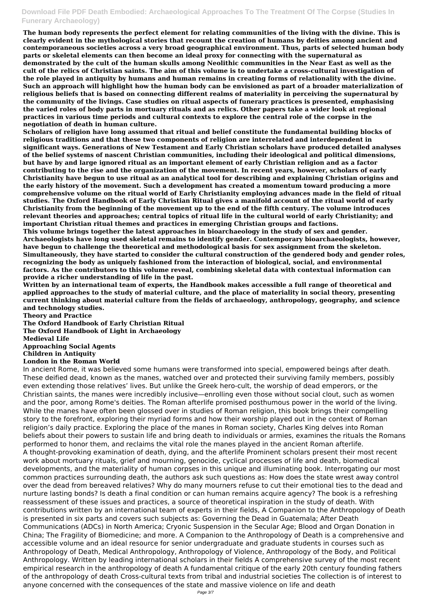**The human body represents the perfect element for relating communities of the living with the divine. This is clearly evident in the mythological stories that recount the creation of humans by deities among ancient and contemporaneous societies across a very broad geographical environment. Thus, parts of selected human body parts or skeletal elements can then become an ideal proxy for connecting with the supernatural as demonstrated by the cult of the human skulls among Neolithic communities in the Near East as well as the cult of the relics of Christian saints. The aim of this volume is to undertake a cross-cultural investigation of the role played in antiquity by humans and human remains in creating forms of relationality with the divine. Such an approach will highlight how the human body can be envisioned as part of a broader materialization of religious beliefs that is based on connecting different realms of materiality in perceiving the supernatural by the community of the livings. Case studies on ritual aspects of funerary practices is presented, emphasising the varied roles of body parts in mortuary rituals and as relics. Other papers take a wider look at regional practices in various time periods and cultural contexts to explore the central role of the corpse in the negotiation of death in human culture.**

**Scholars of religion have long assumed that ritual and belief constitute the fundamental building blocks of religious traditions and that these two components of religion are interrelated and interdependent in significant ways. Generations of New Testament and Early Christian scholars have produced detailed analyses of the belief systems of nascent Christian communities, including their ideological and political dimensions, but have by and large ignored ritual as an important element of early Christian religion and as a factor contributing to the rise and the organization of the movement. In recent years, however, scholars of early Christianity have begun to use ritual as an analytical tool for describing and explaining Christian origins and the early history of the movement. Such a development has created a momentum toward producing a more comprehensive volume on the ritual world of Early Christianity employing advances made in the field of ritual studies. The Oxford Handbook of Early Christian Ritual gives a manifold account of the ritual world of early Christianity from the beginning of the movement up to the end of the fifth century. The volume introduces relevant theories and approaches; central topics of ritual life in the cultural world of early Christianity; and important Christian ritual themes and practices in emerging Christian groups and factions.**

**This volume brings together the latest approaches in bioarchaeology in the study of sex and gender. Archaeologists have long used skeletal remains to identify gender. Contemporary bioarchaeologists, however, have begun to challenge the theoretical and methodological basis for sex assignment from the skeleton. Simultaneously, they have started to consider the cultural construction of the gendered body and gender roles, recognizing the body as uniquely fashioned from the interaction of biological, social, and environmental factors. As the contributors to this volume reveal, combining skeletal data with contextual information can provide a richer understanding of life in the past.**

**Written by an international team of experts, the Handbook makes accessible a full range of theoretical and applied approaches to the study of material culture, and the place of materiality in social theory, presenting current thinking about material culture from the fields of archaeology, anthropology, geography, and science and technology studies.**

**Theory and Practice The Oxford Handbook of Early Christian Ritual The Oxford Handbook of Light in Archaeology Medieval Life Approaching Social Agents Children in Antiquity London in the Roman World**

In ancient Rome, it was believed some humans were transformed into special, empowered beings after death. These deified dead, known as the manes, watched over and protected their surviving family members, possibly even extending those relatives' lives. But unlike the Greek hero-cult, the worship of dead emperors, or the Christian saints, the manes were incredibly inclusive—enrolling even those without social clout, such as women and the poor, among Rome's deities. The Roman afterlife promised posthumous power in the world of the living. While the manes have often been glossed over in studies of Roman religion, this book brings their compelling story to the forefront, exploring their myriad forms and how their worship played out in the context of Roman religion's daily practice. Exploring the place of the manes in Roman society, Charles King delves into Roman beliefs about their powers to sustain life and bring death to individuals or armies, examines the rituals the Romans performed to honor them, and reclaims the vital role the manes played in the ancient Roman afterlife. A thought-provoking examination of death, dying, and the afterlife Prominent scholars present their most recent work about mortuary rituals, grief and mourning, genocide, cyclical processes of life and death, biomedical developments, and the materiality of human corpses in this unique and illuminating book. Interrogating our most common practices surrounding death, the authors ask such questions as: How does the state wrest away control over the dead from bereaved relatives? Why do many mourners refuse to cut their emotional ties to the dead and nurture lasting bonds? Is death a final condition or can human remains acquire agency? The book is a refreshing reassessment of these issues and practices, a source of theoretical inspiration in the study of death. With contributions written by an international team of experts in their fields, A Companion to the Anthropology of Death is presented in six parts and covers such subjects as: Governing the Dead in Guatemala; After Death Communications (ADCs) in North America; Cryonic Suspension in the Secular Age; Blood and Organ Donation in China; The Fragility of Biomedicine; and more. A Companion to the Anthropology of Death is a comprehensive and accessible volume and an ideal resource for senior undergraduate and graduate students in courses such as Anthropology of Death, Medical Anthropology, Anthropology of Violence, Anthropology of the Body, and Political Anthropology. Written by leading international scholars in their fields A comprehensive survey of the most recent empirical research in the anthropology of death A fundamental critique of the early 20th century founding fathers of the anthropology of death Cross-cultural texts from tribal and industrial societies The collection is of interest to anyone concerned with the consequences of the state and massive violence on life and death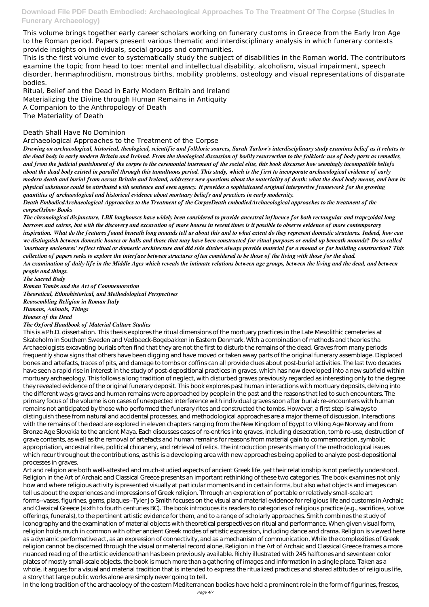This volume brings together early career scholars working on funerary customs in Greece from the Early Iron Age to the Roman period. Papers present various thematic and interdisciplinary analysis in which funerary contexts provide insights on individuals, social groups and communities.

This is the first volume ever to systematically study the subject of disabilities in the Roman world. The contributors examine the topic from head to toe: mental and intellectual disability, alcoholism, visual impairment, speech disorder, hermaphroditism, monstrous births, mobility problems, osteology and visual representations of disparate bodies.

Ritual, Belief and the Dead in Early Modern Britain and Ireland Materializing the Divine through Human Remains in Antiquity A Companion to the Anthropology of Death The Materiality of Death

#### Death Shall Have No Dominion

Archaeological Approaches to the Treatment of the Corpse

*Drawing on archaeological, historical, theological, scientific and folkloric sources, Sarah Tarlow's interdisciplinary study examines belief as it relates to the dead body in early modern Britain and Ireland. From the theological discussion of bodily resurrection to the folkloric use of body parts as remedies, and from the judicial punishment of the corpse to the ceremonial interment of the social elite, this book discusses how seemingly incompatible beliefs about the dead body existed in parallel through this tumultuous period. This study, which is the first to incorporate archaeological evidence of early modern death and burial from across Britain and Ireland, addresses new questions about the materiality of death: what the dead body means, and how its physical substance could be attributed with sentience and even agency. It provides a sophisticated original interpretive framework for the growing quantities of archaeological and historical evidence about mortuary beliefs and practices in early modernity.*

*Death EmbodiedArchaeological Approaches to the Treatment of the CorpseDeath embodiedArchaeological approaches to the treatment of the corpseOxbow Books*

*The chronological disjuncture, LBK longhouses have widely been considered to provide ancestral influence for both rectangular and trapezoidal long barrows and cairns, but with the discovery and excavation of more houses in recent times is it possible to observe evidence of more contemporary inspiration. What do the features found beneath long mounds tell us about this and to what extent do they represent domestic structures. Indeed, how can we distinguish between domestic houses or halls and those that may have been constructed for ritual purposes or ended up beneath mounds? Do so called 'mortuary enclosures' reflect ritual or domestic architecture and did side ditches always provide material for a mound or for building construction? This collection of papers seeks to explore the interface between structures often considered to be those of the living with those for the dead. An examination of daily life in the Middle Ages which reveals the intimate relations between age groups, between the living and the dead, and between people and things.*

*The Sacred Body*

*Roman Tombs and the Art of Commemoration Theoretical, Ethnohistorical, and Methodological Perspectives Reassembling Religion in Roman Italy Humans, Animals, Things Houses of the Dead*

*The Oxford Handbook of Material Culture Studies*

This is a Ph.D. dissertation. This thesis explores the ritual dimensions of the mortuary practices in the Late Mesolithic cemeteries at Skateholm in Southern Sweden and Vedbaeck-Bogebakken in Eastern Denmark. With a combination of methods and theories tha Archaeologists excavating burials often find that they are not the first to disturb the remains of the dead. Graves from many periods frequently show signs that others have been digging and have moved or taken away parts of the original funerary assemblage. Displaced bones and artefacts, traces of pits, and damage to tombs or coffins can all provide clues about post-burial activities. The last two decades have seen a rapid rise in interest in the study of post-depositional practices in graves, which has now developed into a new subfield within mortuary archaeology. This follows a long tradition of neglect, with disturbed graves previously regarded as interesting only to the degree they revealed evidence of the original funerary deposit. This book explores past human interactions with mortuary deposits, delving into the different ways graves and human remains were approached by people in the past and the reasons that led to such encounters. The primary focus of the volume is on cases of unexpected interference with individual graves soon after burial: re-encounters with human remains not anticipated by those who performed the funerary rites and constructed the tombs. However, a first step is always to distinguish these from natural and accidental processes, and methodological approaches are a major theme of discussion. Interactions with the remains of the dead are explored in eleven chapters ranging from the New Kingdom of Egypt to Viking Age Norway and from Bronze Age Slovakia to the ancient Maya. Each discusses cases of re-entries into graves, including desecration, tomb re-use, destruction of grave contents, as well as the removal of artefacts and human remains for reasons from material gain to commemoration, symbolic appropriation, ancestral rites, political chicanery, and retrieval of relics. The introduction presents many of the methodological issues which recur throughout the contributions, as this is a developing area with new approaches being applied to analyze post-depositional

processes in graves.

Art and religion are both well-attested and much-studied aspects of ancient Greek life, yet their relationship is not perfectly understood. Religion in the Art of Archaic and Classical Greece presents an important rethinking of these two categories. The book examines not only how and where religious activity is presented visually at particular moments and in certain forms, but also what objects and images can tell us about the experiences and impressions of Greek religion. Through an exploration of portable or relatively small-scale art forms--vases, figurines, gems, plaques--Tyler Jo Smith focuses on the visual and material evidence for religious life and customs in Archaic and Classical Greece (sixth to fourth centuries BC). The book introduces its readers to categories of religious practice (e.g., sacrifices, votive offerings, funerals), to the pertinent artistic evidence for them, and to a range of scholarly approaches. Smith combines the study of iconography and the examination of material objects with theoretical perspectives on ritual and performance. When given visual form, religion holds much in common with other ancient Greek modes of artistic expression, including dance and drama. Religion is viewed here as a dynamic performative act, as an expression of connectivity, and as a mechanism of communication. While the complexities of Greek religion cannot be discerned through the visual or material record alone, Religion in the Art of Archaic and Classical Greece frames a more nuanced reading of the artistic evidence than has been previously available. Richly illustrated with 245 halftones and seventeen color plates of mostly small-scale objects, the book is much more than a gathering of images and information in a single place. Taken as a whole, it argues for a visual and material tradition that is intended to express the ritualized practices and shared attitudes of religious life, a story that large public works alone are simply never going to tell.

In the long tradition of the archaeology of the eastern Mediterranean bodies have held a prominent role in the form of figurines, frescos,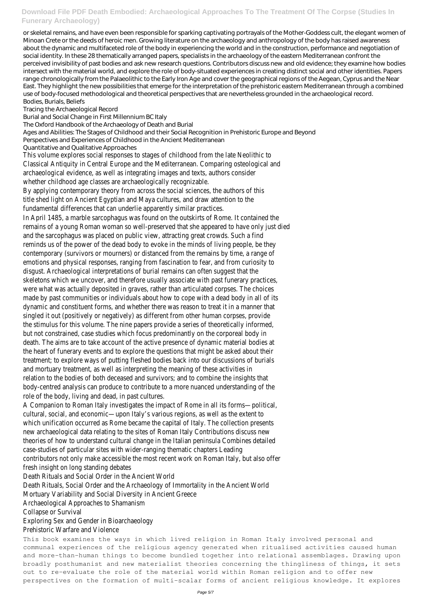or skeletal remains, and have even been responsible for sparking captivating portrayals of the Mother-Goddess cult, the elegant women of Minoan Crete or the deeds of heroic men. Growing literature on the archaeology and anthropology of the body has raised awareness about the dynamic and multifaceted role of the body in experiencing the world and in the construction, performance and negotiation of social identity. In these 28 thematically arranged papers, specialists in the archaeology of the eastern Mediterranean confront the perceived invisibility of past bodies and ask new research questions. Contributors discuss new and old evidence; they examine how bodies intersect with the material world, and explore the role of body-situated experiences in creating distinct social and other identities. Papers range chronologically from the Palaeolithic to the Early Iron Age and cover the geographical regions of the Aegean, Cyprus and the Near East. They highlight the new possibilities that emerge for the interpretation of the prehistoric eastern Mediterranean through a combined use of body-focused methodological and theoretical perspectives that are nevertheless grounded in the archaeological record. Bodies, Burials, Beliefs

Tracing the Archaeological Record

Burial and Social Change in First Millennium BC Italy

The Oxford Handbook of the Archaeology of Death and Burial

Ages and Abilities: The Stages of Childhood and their Social Recognition in Prehistoric Europe and Beyond

Perspectives and Experiences of Childhood in the Ancient Mediterranean

Quantitative and Qualitative Approaches

This volume explores social responses to stages of childhood from the late Neolithic to Classical Antiquity in Central Europe and the Mediterranean. Comparing osteological and archaeological evidence, as well as integrating images and texts, authors consider whether childhood age classes are archaeologically recognizable.

By applying contemporary theory from across the social sciences, the authors of this title shed light on Ancient Egyptian and Maya cultures, and draw attention to the fundamental differences that can underlie apparently similar practices.

In April 1485, a marble sarcophagus was found on the outskirts of Rome. It contained the remains of a young Roman woman so well-preserved that she appeared to have only just died and the sarcophagus was placed on public view, attracting great crowds. Such a find reminds us of the power of the dead body to evoke in the minds of living people, be they contemporary (survivors or mourners) or distanced from the remains by time, a range of emotions and physical responses, ranging from fascination to fear, and from curiosity to disgust. Archaeological interpretations of burial remains can often suggest that the skeletons which we uncover, and therefore usually associate with past funerary practices, were what was actually deposited in graves, rather than articulated corpses. The choices made by past communities or individuals about how to cope with a dead body in all of its dynamic and constituent forms, and whether there was reason to treat it in a manner that singled it out (positively or negatively) as different from other human corpses, provide the stimulus for this volume. The nine papers provide a series of theoretically informed, but not constrained, case studies which focus predominantly on the corporeal body in death. The aims are to take account of the active presence of dynamic material bodies at the heart of funerary events and to explore the questions that might be asked about their treatment; to explore ways of putting fleshed bodies back into our discussions of burials and mortuary treatment, as well as interpreting the meaning of these activities in relation to the bodies of both deceased and survivors; and to combine the insights that body-centred analysis can produce to contribute to a more nuanced understanding of the role of the body, living and dead, in past cultures.

A Companion to Roman Italy investigates the impact of Rome in all its forms—political, cultural, social, and economic—upon Italy's various regions, as well as the extent to which unification occurred as Rome became the capital of Italy. The collection presents new archaeological data relating to the sites of Roman Italy Contributions discuss new theories of how to understand cultural change in the Italian peninsula Combines detailed case-studies of particular sites with wider-ranging thematic chapters Leading contributors not only make accessible the most recent work on Roman Italy, but also offer fresh insight on long standing debates

Death Rituals and Social Order in the Ancient World

Death Rituals, Social Order and the Archaeology of Immortality in the Ancient World

Mortuary Variability and Social Diversity in Ancient Greece

Archaeological Approaches to Shamanism

Collapse or Survival

## Exploring Sex and Gender in Bioarchaeology Prehistoric Warfare and Violence

This book examines the ways in which lived religion in Roman Italy involved personal and communal experiences of the religious agency generated when ritualised activities caused human and more-than-human things to become bundled together into relational assemblages. Drawing upon broadly posthumanist and new materialist theories concerning the thingliness of things, it sets out to re-evaluate the role of the material world within Roman religion and to offer new perspectives on the formation of multi-scalar forms of ancient religious knowledge. It explores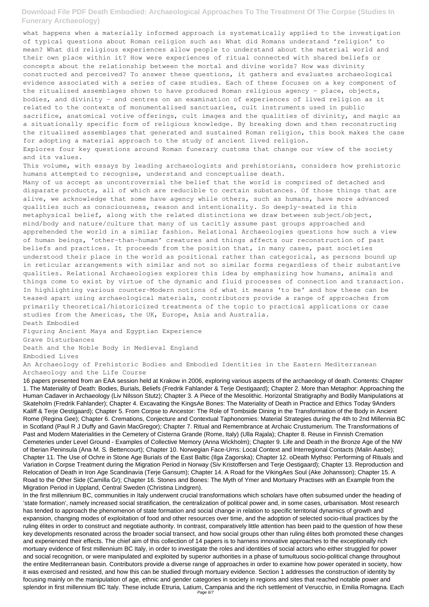what happens when a materially informed approach is systematically applied to the investigation of typical questions about Roman religion such as: What did Romans understand 'religion' to mean? What did religious experiences allow people to understand about the material world and their own place within it? How were experiences of ritual connected with shared beliefs or concepts about the relationship between the mortal and divine worlds? How was divinity constructed and perceived? To answer these questions, it gathers and evaluates archaeological evidence associated with a series of case studies. Each of these focuses on a key component of the ritualised assemblages shown to have produced Roman religious agency – place, objects, bodies, and divinity – and centres on an examination of experiences of lived religion as it related to the contexts of monumentalised sanctuaries, cult instruments used in public sacrifice, anatomical votive offerings, cult images and the qualities of divinity, and magic as a situationally specific form of religious knowledge. By breaking down and then reconstructing the ritualised assemblages that generated and sustained Roman religion, this book makes the case for adopting a material approach to the study of ancient lived religion.

Explores four key questions around Roman funerary customs that change our view of the society and its values.

This volume, with essays by leading archaeologists and prehistorians, considers how prehistoric humans attempted to recognise, understand and conceptualise death.

Many of us accept as uncontroversial the belief that the world is comprised of detached and disparate products, all of which are reducible to certain substances. Of those things that are alive, we acknowledge that some have agency while others, such as humans, have more advanced qualities such as consciousness, reason and intentionality. So deeply-seated is this metaphysical belief, along with the related distinctions we draw between subject/object, mind/body and nature/culture that many of us tacitly assume past groups approached and apprehended the world in a similar fashion. Relational Archaeologies questions how such a view of human beings, 'other-than-human' creatures and things affects our reconstruction of past beliefs and practices. It proceeds from the position that, in many cases, past societies understood their place in the world as positional rather than categorical, as persons bound up in reticular arrangements with similar and not so similar forms regardless of their substantive qualities. Relational Archaeologies explores this idea by emphasizing how humans, animals and things come to exist by virtue of the dynamic and fluid processes of connection and transaction. In highlighting various counter-Modern notions of what it means 'to be' and how these can be teased apart using archaeological materials, contributors provide a range of approaches from primarily theoretical/historicized treatments of the topic to practical applications or case studies from the Americas, the UK, Europe, Asia and Australia. Death Embodied

Figuring Ancient Maya and Egyptian Experience Grave Disturbances

Death and the Noble Body in Medieval England Embodied Lives

An Archaeology of Prehistoric Bodies and Embodied Identities in the Eastern Mediterranean Archaeology and the Life Course

16 papers presented from an EAA session held at Krakow in 2006, exploring various aspects of the archaeology of death. Contents: Chapter 1. The Materiality of Death: Bodies, Burials, Beliefs (Fredrik Fahlander & Terje Oestigaard); Chapter 2. More than Metaphor: Approaching the Human Cadaver in Archaeology (Liv Nilsson Stutz); Chapter 3. A Piece of the Mesolithic. Horizontal Stratigraphy and Bodily Manipulations at Skateholm (Fredrik Fahlander); Chapter 4. Excavating the KingsAe Bones: The Materiality of Death in Practice and Ethics Today 9Anders Kaliff & Terje Oestigaard); Chapter 5. From Corpse to Ancestor: The Role of Tombside Dining in the Transformation of the Body in Ancient Rome (Regina Gee); Chapter 6. Cremations, Conjecture and Contextual Taphonomies: Material Strategies during the 4th to 2nd Millennia BC in Scotland (Paul R J Duffy and Gavin MacGregor); Chapter 7. Ritual and Remembrance at Archaic Crustumerium. The Transformations of Past and Modern Materialities in the Cemetery of Cisterna Grande (Rome, Italy) (Ulla Rajala); Chapter 8. Reuse in Finnish Cremation Cemeteries under Level Ground - Examples of Collective Memory (Anna Wickholm); Chapter 9. Life and Death in the Bronze Age of the NW of Iberian Peninsula (Ana M. S. Bettencourt); Chapter 10. Norwegian Face-Urns: Local Context and Interregional Contacts (Malin Aasbe); Chapter 11. The Use of Ochre in Stone Age Burials of the East Baltic (Ilga Zagorska); Chapter 12. oDeath Mythso: Performing of Rituals and Variation in Corpse Treatment during the Migration Period in Norway (Siv Kristoffersen and Terje Oestigaard); Chapter 13. Reproduction and Relocation of Death in Iron Age Scandinavia (Terje Gansum); Chapter 14. A Road for the VikingAes Soul (Ake Johansson); Chapter 15. A Road to the Other Side (Camilla Gr); Chapter 16. Stones and Bones: The Myth of Ymer and Mortuary Practises with an Example from the Migration Period in Uppland, Central Sweden (Christina Lindgren). In the first millennium BC, communities in Italy underwent crucial transformations which scholars have often subsumed under the heading of 'state formation', namely increased social stratification, the centralization of political power and, in some cases, urbanisation. Most research has tended to approach the phenomenon of state formation and social change in relation to specific territorial dynamics of growth and expansion, changing modes of exploitation of food and other resources over time, and the adoption of selected socio-ritual practices by the ruling élites in order to construct and negotiate authority. In contrast, comparatively little attention has been paid to the question of how these key developments resonated across the broader social transect, and how social groups other than ruling élites both promoted these changes and experienced their effects. The chief aim of this collection of 14 papers is to harness innovative approaches to the exceptionally rich mortuary evidence of first millennium BC Italy, in order to investigate the roles and identities of social actors who either struggled for power and social recognition, or were manipulated and exploited by superior authorities in a phase of tumultuous socio-political change throughout the entire Mediterranean basin. Contributors provide a diverse range of approaches in order to examine how power operated in society, how it was exercised and resisted, and how this can be studied through mortuary evidence. Section 1 addresses the construction of identity by focusing mainly on the manipulation of age, ethnic and gender categories in society in regions and sites that reached notable power and splendor in first millennium BC Italy. These include Etruria, Latium, Campania and the rich settlement of Verucchio, in Emilia Romagna. Each Page 6/7